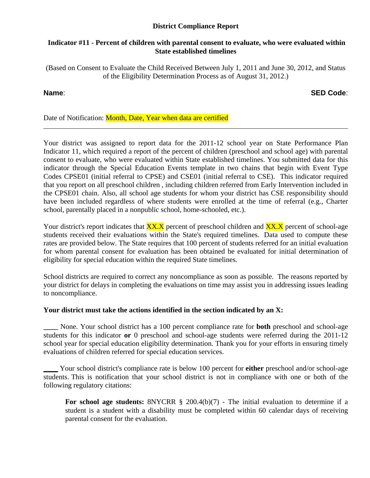# **District Compliance Report**

## **Indicator #11 - Percent of children with parental consent to evaluate, who were evaluated within State established timelines**

(Based on Consent to Evaluate the Child Received Between July 1, 2011 and June 30, 2012, and Status of the Eligibility Determination Process as of August 31, 2012.)

# **Name**: **SED Code**:

# Date of Notification: Month, Date, Year when data are certified

Your district was assigned to report data for the 2011-12 school year on State Performance Plan Indicator 11, which required a report of the percent of children (preschool and school age) with parental consent to evaluate, who were evaluated within State established timelines. You submitted data for this indicator through the Special Education Events template in two chains that begin with Event Type Codes CPSE01 (initial referral to CPSE) and CSE01 (initial referral to CSE). This indicator required that you report on all preschool children , including children referred from Early Intervention included in the CPSE01 chain. Also, all school age students for whom your district has CSE responsibility should have been included regardless of where students were enrolled at the time of referral (e.g., Charter school, parentally placed in a nonpublic school, home-schooled, etc.).

Your district's report indicates that  $\frac{XX.X}{XX}$  percent of preschool children and  $\frac{XX.X}{XX}$  percent of school-age students received their evaluations within the State's required timelines. Data used to compute these rates are provided below. The State requires that 100 percent of students referred for an initial evaluation for whom parental consent for evaluation has been obtained be evaluated for initial determination of eligibility for special education within the required State timelines.

School districts are required to correct any noncompliance as soon as possible. The reasons reported by your district for delays in completing the evaluations on time may assist you in addressing issues leading to noncompliance.

# **Your district must take the actions identified in the section indicated by an X:**

**\_\_\_\_** None. Your school district has a 100 percent compliance rate for **both** preschool and school-age students for this indicator **or** 0 preschool and school-age students were referred during the 2011-12 school year for special education eligibility determination. Thank you for your efforts in ensuring timely evaluations of children referred for special education services.

\_\_\_\_ Your school district's compliance rate is below 100 percent for **either** preschool and/or school-age students. This is notification that your school district is not in compliance with one or both of the following regulatory citations:

**For school age students:** 8NYCRR § 200.4(b)(7) - The initial evaluation to determine if a student is a student with a disability must be completed within 60 calendar days of receiving parental consent for the evaluation.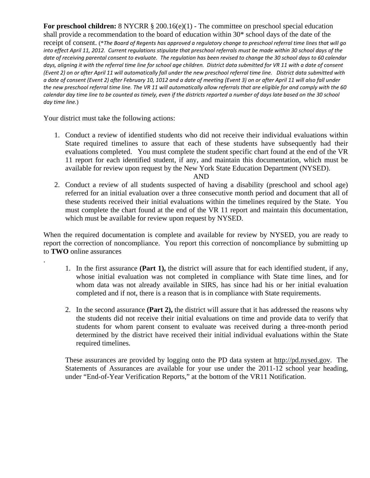For preschool children: 8 NYCRR § 200.16(e)(1) - The committee on preschool special education shall provide a recommendation to the board of education within 30\* school days of the date of the receipt of consent. (\*The Board of Regents has approved a regulatory change to preschool referral time lines that will go into effect April 11, 2012. Current regulations stipulate that preschool referrals must be made within 30 school days of the date of receiving parental consent to evaluate. The regulation has been revised to change the 30 school days to 60 calendar days, aligning it with the referral time line for school age children. District data submitted for VR 11 with a date of consent (Event 2) on or after April 11 will automatically fall under the new preschool referral time line. District data submitted with a date of consent (Event 2) after February 10, 1012 and a date of meeting (Event 3) on or after April 11 will also fall under the new preschool referral time line. The VR 11 will automatically allow referrals that are eligible for and comply with the 60 calendar day time line to be counted as timely, even if the districts reported a number of days late based on the 30 school *day time line.*)

Your district must take the following actions:

.

1. Conduct a review of identified students who did not receive their individual evaluations within State required timelines to assure that each of these students have subsequently had their evaluations completed. You must complete the student specific chart found at the end of the VR 11 report for each identified student, if any, and maintain this documentation, which must be available for review upon request by the New York State Education Department (NYSED).

### AND

2. Conduct a review of all students suspected of having a disability (preschool and school age) referred for an initial evaluation over a three consecutive month period and document that all of these students received their initial evaluations within the timelines required by the State. You must complete the chart found at the end of the VR 11 report and maintain this documentation, which must be available for review upon request by NYSED.

When the required documentation is complete and available for review by NYSED, you are ready to report the correction of noncompliance. You report this correction of noncompliance by submitting up to **TWO** online assurances

- 1. In the first assurance **(Part 1),** the district will assure that for each identified student, if any, whose initial evaluation was not completed in compliance with State time lines, and for whom data was not already available in SIRS, has since had his or her initial evaluation completed and if not, there is a reason that is in compliance with State requirements.
- 2. In the second assurance **(Part 2),** the district will assure that it has addressed the reasons why the students did not receive their initial evaluations on time and provide data to verify that students for whom parent consent to evaluate was received during a three-month period determined by the district have received their initial individual evaluations within the State required timelines.

These assurances are provided by logging onto the PD data system at http://pd.nysed.gov. The Statements of Assurances are available for your use under the 2011-12 school year heading, under "End-of-Year Verification Reports," at the bottom of the VR11 Notification.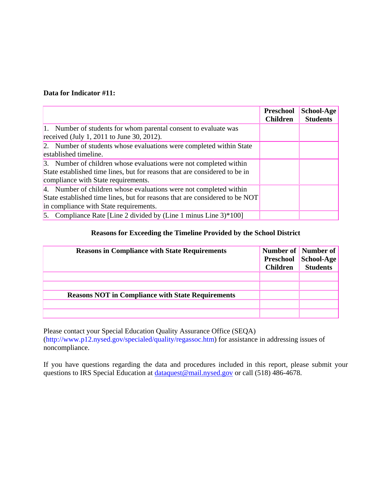# **Data for Indicator #11:**

|                                                                                                                                                                                            | Preschool<br><b>Children</b> | School-Age<br><b>Students</b> |
|--------------------------------------------------------------------------------------------------------------------------------------------------------------------------------------------|------------------------------|-------------------------------|
| 1. Number of students for whom parental consent to evaluate was<br>received (July 1, 2011 to June 30, 2012).                                                                               |                              |                               |
| 2. Number of students whose evaluations were completed within State<br>established timeline.                                                                                               |                              |                               |
| 3. Number of children whose evaluations were not completed within<br>State established time lines, but for reasons that are considered to be in<br>compliance with State requirements.     |                              |                               |
| 4. Number of children whose evaluations were not completed within<br>State established time lines, but for reasons that are considered to be NOT<br>in compliance with State requirements. |                              |                               |
| 5. Compliance Rate [Line 2 divided by (Line 1 minus Line $3$ )*100]                                                                                                                        |                              |                               |

# **Reasons for Exceeding the Timeline Provided by the School District**

| <b>Reasons in Compliance with State Requirements</b>     | <b>Children</b> | Number of Number of<br>Preschool School-Age<br><b>Students</b> |
|----------------------------------------------------------|-----------------|----------------------------------------------------------------|
|                                                          |                 |                                                                |
|                                                          |                 |                                                                |
| <b>Reasons NOT in Compliance with State Requirements</b> |                 |                                                                |
|                                                          |                 |                                                                |
|                                                          |                 |                                                                |

Please contact your Special Education Quality Assurance Office (SEQA) (http://www.p12.nysed.gov/specialed/quality/regassoc.htm) for assistance in addressing issues of noncompliance.

If you have questions regarding the data and procedures included in this report, please submit your questions to IRS Special Education at dataquest@mail.nysed.gov or call (518) 486-4678.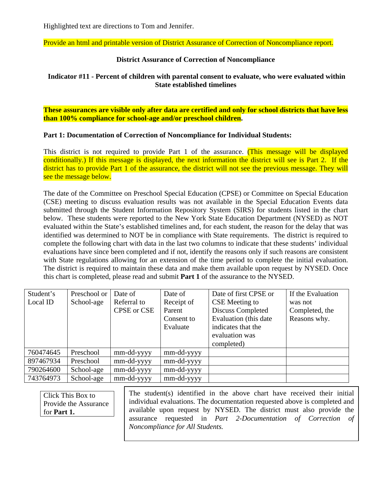Highlighted text are directions to Tom and Jennifer.

Provide an html and printable version of District Assurance of Correction of Noncompliance report.

## **District Assurance of Correction of Noncompliance**

# **Indicator #11 - Percent of children with parental consent to evaluate, who were evaluated within State established timelines**

**These assurances are visible only after data are certified and only for school districts that have less than 100% compliance for school-age and/or preschool children.** 

## **Part 1: Documentation of Correction of Noncompliance for Individual Students:**

This district is not required to provide Part 1 of the assurance. (This message will be displayed conditionally.) If this message is displayed, the next information the district will see is Part 2. If the district has to provide Part 1 of the assurance, the district will not see the previous message. They will see the message below.

The date of the Committee on Preschool Special Education (CPSE) or Committee on Special Education (CSE) meeting to discuss evaluation results was not available in the Special Education Events data submitted through the Student Information Repository System (SIRS) for students listed in the chart below. These students were reported to the New York State Education Department (NYSED) as NOT evaluated within the State's established timelines and, for each student, the reason for the delay that was identified was determined to NOT be in compliance with State requirements. The district is required to complete the following chart with data in the last two columns to indicate that these students' individual evaluations have since been completed and if not, identify the reasons only if such reasons are consistent with State regulations allowing for an extension of the time period to complete the initial evaluation. The district is required to maintain these data and make them available upon request by NYSED. Once this chart is completed, please read and submit **Part 1** of the assurance to the NYSED.

| Student's | Preschool or | Date of            | Date of    | Date of first CPSE or  | If the Evaluation |
|-----------|--------------|--------------------|------------|------------------------|-------------------|
| Local ID  | School-age   | Referral to        | Receipt of | CSE Meeting to         | was not           |
|           |              | <b>CPSE</b> or CSE | Parent     | Discuss Completed      | Completed, the    |
|           |              |                    | Consent to | Evaluation (this date) | Reasons why.      |
|           |              |                    | Evaluate   | indicates that the     |                   |
|           |              |                    |            | evaluation was         |                   |
|           |              |                    |            | completed)             |                   |
| 760474645 | Preschool    | mm-dd-yyyy         | mm-dd-yyyy |                        |                   |
| 897467934 | Preschool    | mm-dd-yyyy         | mm-dd-yyyy |                        |                   |
| 790264600 | School-age   | mm-dd-yyyy         | mm-dd-yyyy |                        |                   |
| 743764973 | School-age   | mm-dd-yyyy         | mm-dd-yyyy |                        |                   |

Click This Box to Provide the Assurance for **Part 1.**

The student(s) identified in the above chart have received their initial individual evaluations. The documentation requested above is completed and available upon request by NYSED. The district must also provide the assurance requested in *Part 2-Documentation of Correction of Noncompliance for All Students.*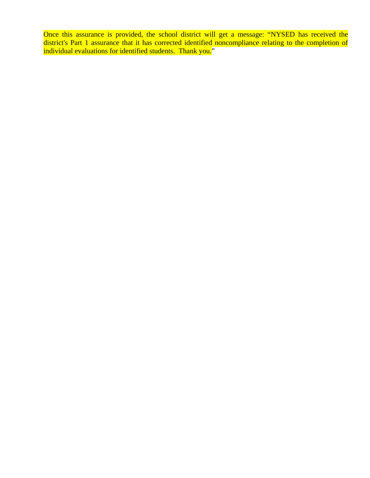Once this assurance is provided, the school district will get a message: "NYSED has received the district's Part 1 assurance that it has corrected identified noncompliance relating to the completion of individual evaluations for identified students. Thank you."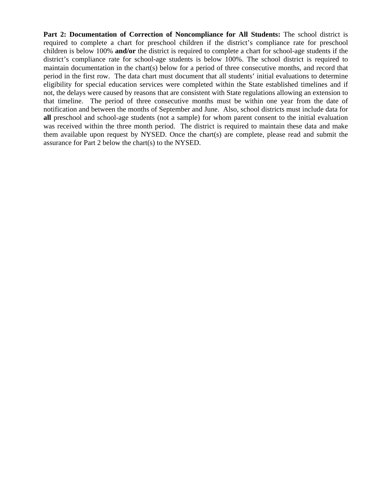**Part 2: Documentation of Correction of Noncompliance for All Students:** The school district is required to complete a chart for preschool children if the district's compliance rate for preschool children is below 100% **and/or** the district is required to complete a chart for school-age students if the district's compliance rate for school-age students is below 100%. The school district is required to maintain documentation in the chart(s) below for a period of three consecutive months, and record that period in the first row. The data chart must document that all students' initial evaluations to determine eligibility for special education services were completed within the State established timelines and if not, the delays were caused by reasons that are consistent with State regulations allowing an extension to that timeline. The period of three consecutive months must be within one year from the date of notification and between the months of September and June. Also, school districts must include data for **all** preschool and school-age students (not a sample) for whom parent consent to the initial evaluation was received within the three month period. The district is required to maintain these data and make them available upon request by NYSED. Once the chart(s) are complete, please read and submit the assurance for Part 2 below the chart(s) to the NYSED.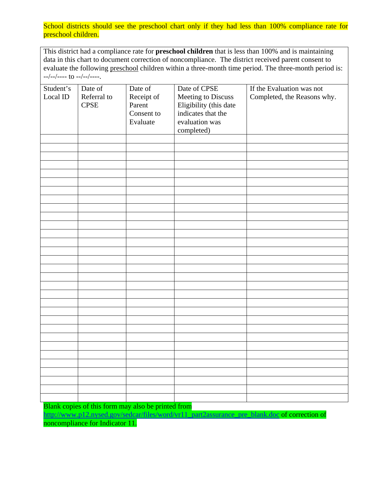School districts should see the preschool chart only if they had less than 100% compliance rate for preschool children.

This district had a compliance rate for **preschool children** that is less than 100% and is maintaining data in this chart to document correction of noncompliance. The district received parent consent to evaluate the following preschool children within a three-month time period. The three-month period is:  $-$ /--/---- to --/--/----.

| Student's | Date of     | Date of    | Date of CPSE           | If the Evaluation was not   |
|-----------|-------------|------------|------------------------|-----------------------------|
| Local ID  | Referral to | Receipt of | Meeting to Discuss     | Completed, the Reasons why. |
|           | <b>CPSE</b> | Parent     | Eligibility (this date |                             |
|           |             | Consent to | indicates that the     |                             |
|           |             | Evaluate   | evaluation was         |                             |
|           |             |            |                        |                             |
|           |             |            | completed)             |                             |
|           |             |            |                        |                             |
|           |             |            |                        |                             |
|           |             |            |                        |                             |
|           |             |            |                        |                             |
|           |             |            |                        |                             |
|           |             |            |                        |                             |
|           |             |            |                        |                             |
|           |             |            |                        |                             |
|           |             |            |                        |                             |
|           |             |            |                        |                             |
|           |             |            |                        |                             |
|           |             |            |                        |                             |
|           |             |            |                        |                             |
|           |             |            |                        |                             |
|           |             |            |                        |                             |
|           |             |            |                        |                             |
|           |             |            |                        |                             |
|           |             |            |                        |                             |
|           |             |            |                        |                             |
|           |             |            |                        |                             |
|           |             |            |                        |                             |
|           |             |            |                        |                             |
|           |             |            |                        |                             |
|           |             |            |                        |                             |
|           |             |            |                        |                             |
|           |             |            |                        |                             |
|           |             |            |                        |                             |
|           |             |            |                        |                             |
|           |             |            |                        |                             |
|           |             |            |                        |                             |
|           |             |            |                        |                             |

Blank copies of this form may also be printed from

http://www.p12.nysed.gov/sedcar/files/word/vr11\_part2assurance\_pre\_blank.doc of correction of noncompliance for Indicator 11.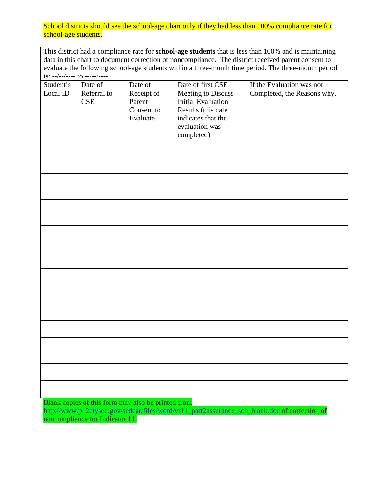School districts should see the school-age chart only if they had less than 100% compliance rate for school-age students.

This district had a compliance rate for **school-age students** that is less than 100% and is maintaining data in this chart to document correction of noncompliance. The district received parent consent to evaluate the following school-age students within a three-month time period. The three-month period is: --/--/---- to --/--/----.

| Student's | Date of     | Date of    | Date of first CSE         | If the Evaluation was not   |
|-----------|-------------|------------|---------------------------|-----------------------------|
| Local ID  | Referral to | Receipt of | Meeting to Discuss        | Completed, the Reasons why. |
|           | CSE         | Parent     | <b>Initial Evaluation</b> |                             |
|           |             | Consent to | Results (this date        |                             |
|           |             |            |                           |                             |
|           |             | Evaluate   | indicates that the        |                             |
|           |             |            | evaluation was            |                             |
|           |             |            | completed)                |                             |
|           |             |            |                           |                             |
|           |             |            |                           |                             |
|           |             |            |                           |                             |
|           |             |            |                           |                             |
|           |             |            |                           |                             |
|           |             |            |                           |                             |
|           |             |            |                           |                             |
|           |             |            |                           |                             |
|           |             |            |                           |                             |
|           |             |            |                           |                             |
|           |             |            |                           |                             |
|           |             |            |                           |                             |
|           |             |            |                           |                             |
|           |             |            |                           |                             |
|           |             |            |                           |                             |
|           |             |            |                           |                             |
|           |             |            |                           |                             |
|           |             |            |                           |                             |
|           |             |            |                           |                             |
|           |             |            |                           |                             |
|           |             |            |                           |                             |
|           |             |            |                           |                             |
|           |             |            |                           |                             |
|           |             |            |                           |                             |
|           |             |            |                           |                             |
|           |             |            |                           |                             |
|           |             |            |                           |                             |
|           |             |            |                           |                             |
|           |             |            |                           |                             |
|           |             |            |                           |                             |

Blank copies of this form may also be printed from

http://www.p12.nysed.gov/sedcar/files/word/vr11\_part2assurance\_sch\_blank.doc of correction of noncompliance for Indicator 11.